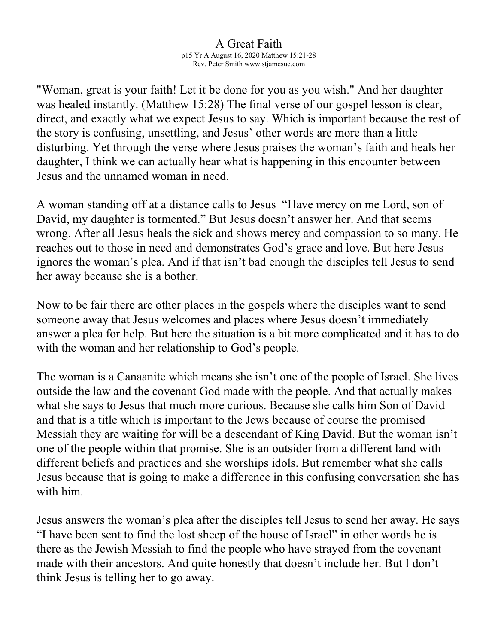## A Great Faith p15 Yr A August 16, 2020 Matthew 15:21-28

Rev. Peter Smith www.stjamesuc.com

"Woman, great is your faith! Let it be done for you as you wish." And her daughter was healed instantly. (Matthew 15:28) The final verse of our gospel lesson is clear, direct, and exactly what we expect Jesus to say. Which is important because the rest of the story is confusing, unsettling, and Jesus' other words are more than a little disturbing. Yet through the verse where Jesus praises the woman's faith and heals her daughter, I think we can actually hear what is happening in this encounter between Jesus and the unnamed woman in need.

A woman standing off at a distance calls to Jesus "Have mercy on me Lord, son of David, my daughter is tormented." But Jesus doesn't answer her. And that seems wrong. After all Jesus heals the sick and shows mercy and compassion to so many. He reaches out to those in need and demonstrates God's grace and love. But here Jesus ignores the woman's plea. And if that isn't bad enough the disciples tell Jesus to send her away because she is a bother.

Now to be fair there are other places in the gospels where the disciples want to send someone away that Jesus welcomes and places where Jesus doesn't immediately answer a plea for help. But here the situation is a bit more complicated and it has to do with the woman and her relationship to God's people.

The woman is a Canaanite which means she isn't one of the people of Israel. She lives outside the law and the covenant God made with the people. And that actually makes what she says to Jesus that much more curious. Because she calls him Son of David and that is a title which is important to the Jews because of course the promised Messiah they are waiting for will be a descendant of King David. But the woman isn't one of the people within that promise. She is an outsider from a different land with different beliefs and practices and she worships idols. But remember what she calls Jesus because that is going to make a difference in this confusing conversation she has with him.

Jesus answers the woman's plea after the disciples tell Jesus to send her away. He says "I have been sent to find the lost sheep of the house of Israel" in other words he is there as the Jewish Messiah to find the people who have strayed from the covenant made with their ancestors. And quite honestly that doesn't include her. But I don't think Jesus is telling her to go away.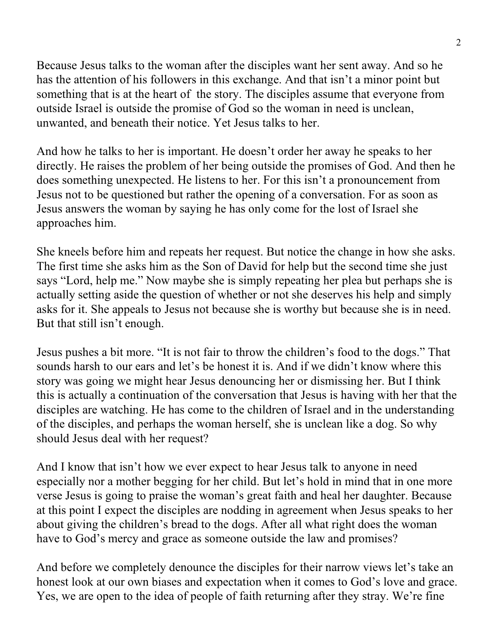Because Jesus talks to the woman after the disciples want her sent away. And so he has the attention of his followers in this exchange. And that isn't a minor point but something that is at the heart of the story. The disciples assume that everyone from outside Israel is outside the promise of God so the woman in need is unclean, unwanted, and beneath their notice. Yet Jesus talks to her.

And how he talks to her is important. He doesn't order her away he speaks to her directly. He raises the problem of her being outside the promises of God. And then he does something unexpected. He listens to her. For this isn't a pronouncement from Jesus not to be questioned but rather the opening of a conversation. For as soon as Jesus answers the woman by saying he has only come for the lost of Israel she approaches him.

She kneels before him and repeats her request. But notice the change in how she asks. The first time she asks him as the Son of David for help but the second time she just says "Lord, help me." Now maybe she is simply repeating her plea but perhaps she is actually setting aside the question of whether or not she deserves his help and simply asks for it. She appeals to Jesus not because she is worthy but because she is in need. But that still isn't enough.

Jesus pushes a bit more. "It is not fair to throw the children's food to the dogs." That sounds harsh to our ears and let's be honest it is. And if we didn't know where this story was going we might hear Jesus denouncing her or dismissing her. But I think this is actually a continuation of the conversation that Jesus is having with her that the disciples are watching. He has come to the children of Israel and in the understanding of the disciples, and perhaps the woman herself, she is unclean like a dog. So why should Jesus deal with her request?

And I know that isn't how we ever expect to hear Jesus talk to anyone in need especially nor a mother begging for her child. But let's hold in mind that in one more verse Jesus is going to praise the woman's great faith and heal her daughter. Because at this point I expect the disciples are nodding in agreement when Jesus speaks to her about giving the children's bread to the dogs. After all what right does the woman have to God's mercy and grace as someone outside the law and promises?

And before we completely denounce the disciples for their narrow views let's take an honest look at our own biases and expectation when it comes to God's love and grace. Yes, we are open to the idea of people of faith returning after they stray. We're fine